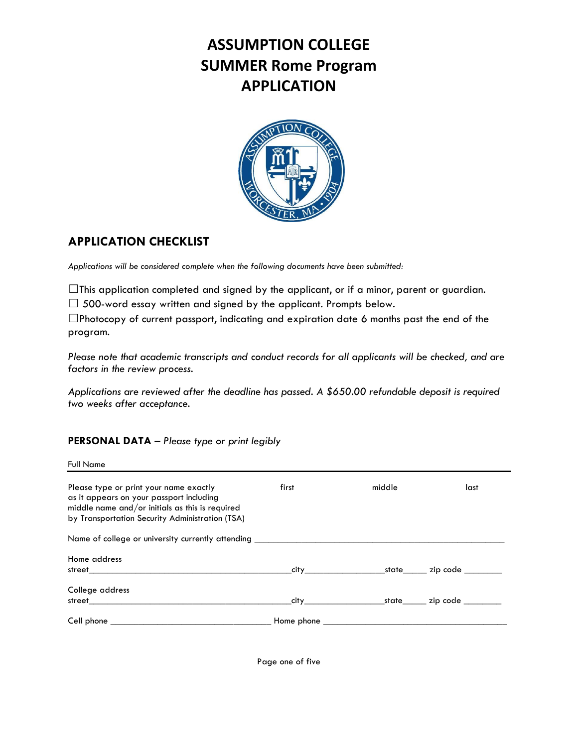# **ASSUMPTION COLLEGE SUMMER Rome Program APPLICATION**



## **APPLICATION CHECKLIST**

*Applications will be considered complete when the following documents have been submitted:*

 $\Box$ This application completed and signed by the applicant, or if a minor, parent or guardian.

 $\Box$  500-word essay written and signed by the applicant. Prompts below.

☐Photocopy of current passport, indicating and expiration date 6 months past the end of the program.

*Please note that academic transcripts and conduct records for all applicants will be checked, and are factors in the review process.*

*Applications are reviewed after the deadline has passed. A \$650.00 refundable deposit is required two weeks after acceptance.*

## **PERSONAL DATA** – *Please type or print legibly*

Full Name

| Please type or print your name exactly<br>as it appears on your passport including<br>middle name and/or initials as this is required<br>by Transportation Security Administration (TSA)                                             | first | middle | last |
|--------------------------------------------------------------------------------------------------------------------------------------------------------------------------------------------------------------------------------------|-------|--------|------|
| Name of college or university currently attending _______________________________                                                                                                                                                    |       |        |      |
| Home address                                                                                                                                                                                                                         |       |        |      |
| College address<br>street and the contract of the contract of the contract of the contract of the contract of the contract of the                                                                                                    |       |        |      |
| Cell phone <b>contract the contract of the contract of the contract of the contract of the contract of the contract of the contract of the contract of the contract of the contract of the contract of the contract of the contr</b> |       |        |      |

Page one of five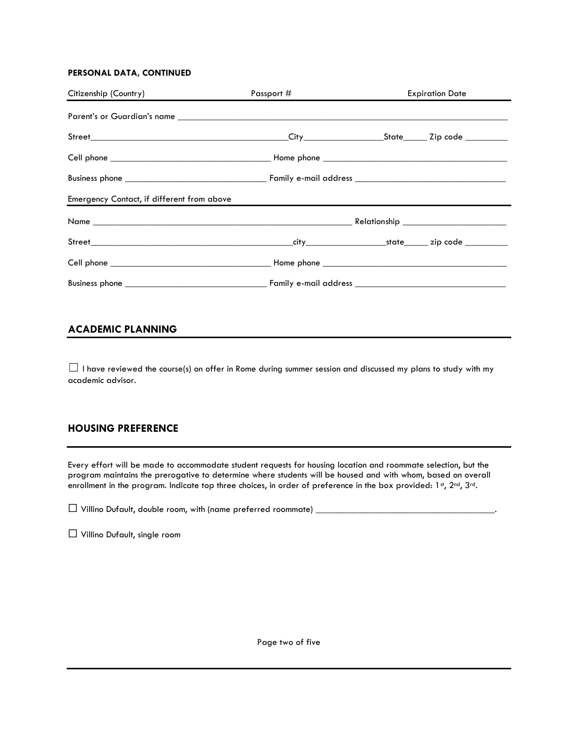#### **PERSONAL DATA, CONTINUED**

| Citizenship (Country)                                                                                                                                                                                                                | Passport # |  | <b>Expiration Date</b> |
|--------------------------------------------------------------------------------------------------------------------------------------------------------------------------------------------------------------------------------------|------------|--|------------------------|
| Parent's or Guardian's name <b>contrary and the contrary of the contrary of the contrary of the contrary of the contrary of the contrary of the contrary of the contrary of the contrary of the contrary of the contrary of the </b> |            |  |                        |
|                                                                                                                                                                                                                                      |            |  |                        |
|                                                                                                                                                                                                                                      |            |  |                        |
|                                                                                                                                                                                                                                      |            |  |                        |
| Emergency Contact, if different from above                                                                                                                                                                                           |            |  |                        |
|                                                                                                                                                                                                                                      |            |  |                        |
|                                                                                                                                                                                                                                      |            |  |                        |
|                                                                                                                                                                                                                                      |            |  |                        |
|                                                                                                                                                                                                                                      |            |  |                        |

## **ACADEMIC PLANNING**

 $\Box$  I have reviewed the course(s) on offer in Rome during summer session and discussed my plans to study with my academic advisor.

### **HOUSING PREFERENCE**

Every effort will be made to accommodate student requests for housing location and roommate selection, but the program maintains the prerogative to determine where students will be housed and with whom, based on overall enrollment in the program. Indicate top three choices, in order of preference in the box provided: 1st, 2nd, 3rd.

 $\Box$  Villino Dufault, double room, with (name preferred roommate)  $\Box$ 

☐ Villino Dufault, single room

Page two of five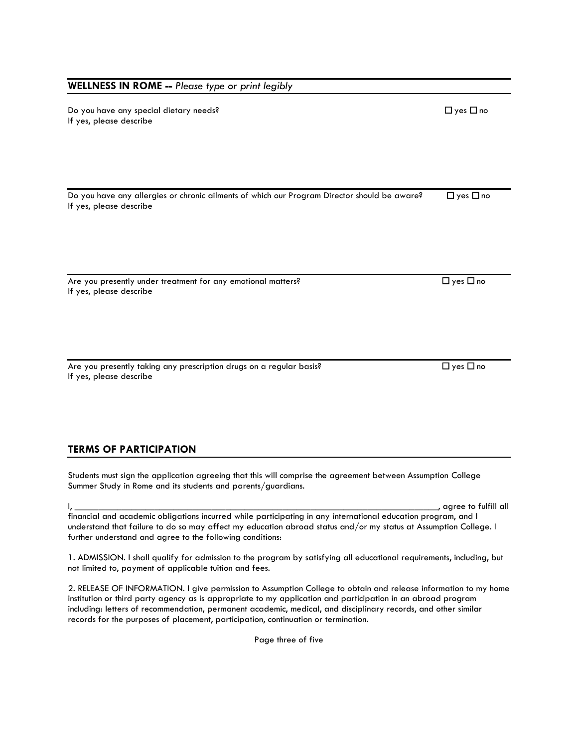#### **WELLNESS IN ROME --** *Please type or print legibly*

Do you have any special dietary needs? ☐ yes ☐ no If yes, please describe

Do you have any allergies or chronic ailments of which our Program Director should be aware? □ yes □ no If yes, please describe

Are you presently under treatment for any emotional matters?  $\Box$  yes  $\Box$  no If yes, please describe

Are you presently taking any prescription drugs on a regular basis?  $□$  yes  $□$  yes  $□$  no If yes, please describe

**TERMS OF PARTICIPATION**

Students must sign the application agreeing that this will comprise the agreement between Assumption College Summer Study in Rome and its students and parents/guardians.

I, \_\_\_\_\_\_\_\_\_\_\_\_\_\_\_\_\_\_\_\_\_\_\_\_\_\_\_\_\_\_\_\_\_\_\_\_\_\_\_\_\_\_\_\_\_\_\_\_\_\_\_\_\_\_\_\_\_\_\_\_\_\_\_\_\_\_\_\_\_\_\_\_\_\_\_\_\_, agree to fulfill all financial and academic obligations incurred while participating in any international education program, and I understand that failure to do so may affect my education abroad status and/or my status at Assumption College. I further understand and agree to the following conditions:

1. ADMISSION. I shall qualify for admission to the program by satisfying all educational requirements, including, but not limited to, payment of applicable tuition and fees.

2. RELEASE OF INFORMATION. I give permission to Assumption College to obtain and release information to my home institution or third party agency as is appropriate to my application and participation in an abroad program including: letters of recommendation, permanent academic, medical, and disciplinary records, and other similar records for the purposes of placement, participation, continuation or termination.

Page three of five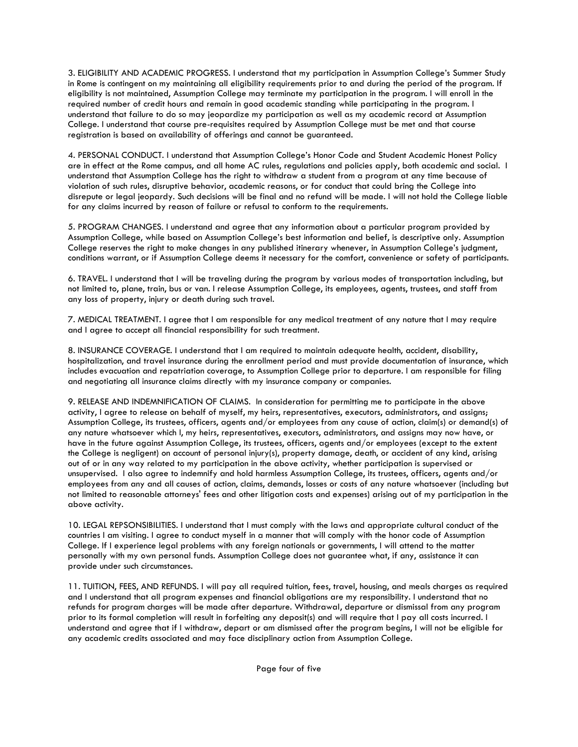3. ELIGIBILITY AND ACADEMIC PROGRESS. I understand that my participation in Assumption College's Summer Study in Rome is contingent on my maintaining all eligibility requirements prior to and during the period of the program. If eligibility is not maintained, Assumption College may terminate my participation in the program. I will enroll in the required number of credit hours and remain in good academic standing while participating in the program. I understand that failure to do so may jeopardize my participation as well as my academic record at Assumption College. I understand that course pre-requisites required by Assumption College must be met and that course registration is based on availability of offerings and cannot be guaranteed.

4. PERSONAL CONDUCT. I understand that Assumption College's Honor Code and Student Academic Honest Policy are in effect at the Rome campus, and all home AC rules, regulations and policies apply, both academic and social. I understand that Assumption College has the right to withdraw a student from a program at any time because of violation of such rules, disruptive behavior, academic reasons, or for conduct that could bring the College into disrepute or legal jeopardy. Such decisions will be final and no refund will be made. I will not hold the College liable for any claims incurred by reason of failure or refusal to conform to the requirements.

5. PROGRAM CHANGES. I understand and agree that any information about a particular program provided by Assumption College, while based on Assumption College's best information and belief, is descriptive only. Assumption College reserves the right to make changes in any published itinerary whenever, in Assumption College's judgment, conditions warrant, or if Assumption College deems it necessary for the comfort, convenience or safety of participants.

6. TRAVEL. I understand that I will be traveling during the program by various modes of transportation including, but not limited to, plane, train, bus or van. I release Assumption College, its employees, agents, trustees, and staff from any loss of property, injury or death during such travel.

7. MEDICAL TREATMENT. I agree that I am responsible for any medical treatment of any nature that I may require and I agree to accept all financial responsibility for such treatment.

8. INSURANCE COVERAGE. I understand that I am required to maintain adequate health, accident, disability, hospitalization, and travel insurance during the enrollment period and must provide documentation of insurance, which includes evacuation and repatriation coverage, to Assumption College prior to departure. I am responsible for filing and negotiating all insurance claims directly with my insurance company or companies.

9. RELEASE AND INDEMNIFICATION OF CLAIMS. In consideration for permitting me to participate in the above activity, I agree to release on behalf of myself, my heirs, representatives, executors, administrators, and assigns; Assumption College, its trustees, officers, agents and/or employees from any cause of action, claim(s) or demand(s) of any nature whatsoever which I, my heirs, representatives, executors, administrators, and assigns may now have, or have in the future against Assumption College, its trustees, officers, agents and/or employees (except to the extent the College is negligent) on account of personal injury(s), property damage, death, or accident of any kind, arising out of or in any way related to my participation in the above activity, whether participation is supervised or unsupervised. I also agree to indemnify and hold harmless Assumption College, its trustees, officers, agents and/or employees from any and all causes of action, claims, demands, losses or costs of any nature whatsoever (including but not limited to reasonable attorneys' fees and other litigation costs and expenses) arising out of my participation in the above activity.

10. LEGAL REPSONSIBILITIES. I understand that I must comply with the laws and appropriate cultural conduct of the countries I am visiting. I agree to conduct myself in a manner that will comply with the honor code of Assumption College. If I experience legal problems with any foreign nationals or governments, I will attend to the matter personally with my own personal funds. Assumption College does not guarantee what, if any, assistance it can provide under such circumstances.

11. TUITION, FEES, AND REFUNDS. I will pay all required tuition, fees, travel, housing, and meals charges as required and I understand that all program expenses and financial obligations are my responsibility. I understand that no refunds for program charges will be made after departure. Withdrawal, departure or dismissal from any program prior to its formal completion will result in forfeiting any deposit(s) and will require that I pay all costs incurred. I understand and agree that if I withdraw, depart or am dismissed after the program begins, I will not be eligible for any academic credits associated and may face disciplinary action from Assumption College.